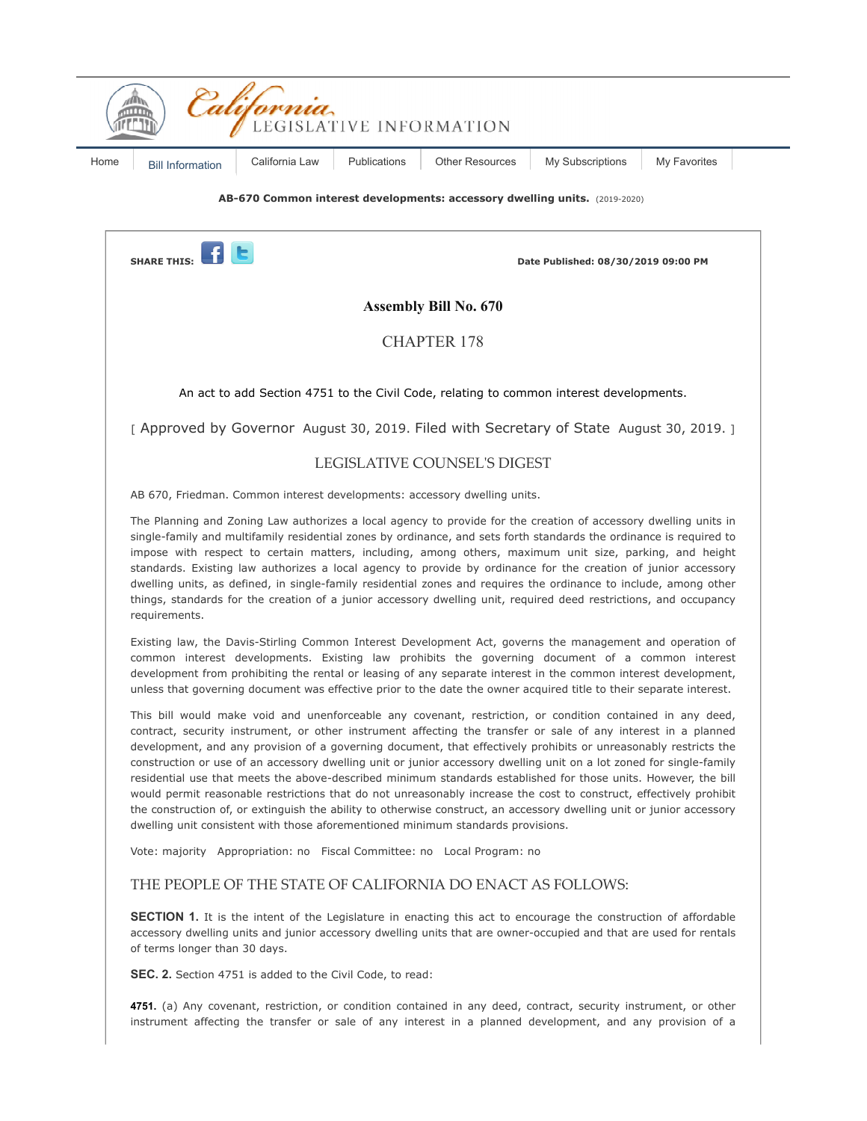

accessory dwelling units and junior accessory dwelling units that are owner-occupied and that are used for rentals of terms longer than 30 days.

**SEC. 2.** Section 4751 is added to the Civil Code, to read:

**4751.** (a) Any covenant, restriction, or condition contained in any deed, contract, security instrument, or other instrument affecting the transfer or sale of any interest in a planned development, and any provision of a